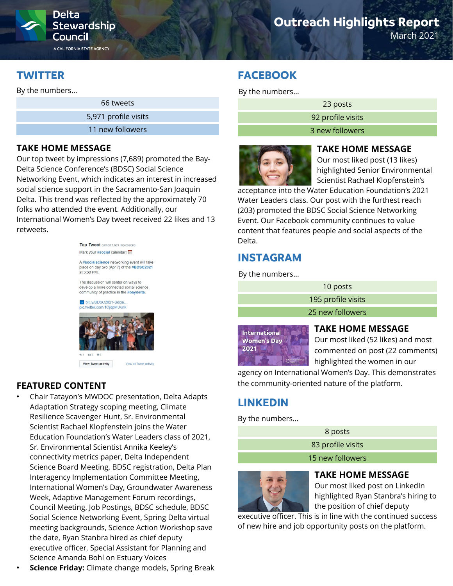

# **Outreach Highlights Report**

March 2021

## **TWITTER**

By the numbers…

66 tweets

5,971 profile visits

11 new followers

#### **TAKE HOME MESSAGE**

Our top tweet by impressions (7,689) promoted the Bay-Delta Science Conference's (BDSC) Social Science Networking Event, which indicates an interest in increased social science support in the Sacramento-San Joaquin Delta. This trend was reflected by the approximately 70 folks who attended the event. Additionally, our International Women's Day tweet received 22 likes and 13 retweets.





View Tweet activity View all Tweet activity

### **FEATURED CONTENT**

- Chair Tatayon's MWDOC presentation, Delta Adapts Adaptation Strategy scoping meeting, Climate Resilience Scavenger Hunt, Sr. Environmental Scientist Rachael Klopfenstein joins the Water Education Foundation's Water Leaders class of 2021, Sr. Environmental Scientist Annika Keeley's connectivity metrics paper, Delta Independent Science Board Meeting, BDSC registration, Delta Plan Interagency Implementation Committee Meeting, International Women's Day, Groundwater Awareness Week, Adaptive Management Forum recordings, Council Meeting, Job Postings, BDSC schedule, BDSC Social Science Networking Event, Spring Delta virtual meeting backgrounds, Science Action Workshop save the date, Ryan Stanbra hired as chief deputy executive officer, Special Assistant for Planning and Science Amanda Bohl on Estuary Voices
- **Science Friday:** Climate change models, Spring Break

## **FACEBOOK**

By the numbers…

23 posts

92 profile visits

3 new followers



#### **TAKE HOME MESSAGE**

Our most liked post (13 likes) highlighted Senior Environmental Scientist Rachael Klopfenstein's

acceptance into the Water Education Foundation's 2021 Water Leaders class. Our post with the furthest reach (203) promoted the BDSC Social Science Networking Event. Our Facebook community continues to value content that features people and social aspects of the Delta.

## **INSTAGRAM**

By the numbers…

| 10 posts           |
|--------------------|
| 195 profile visits |
| 25 new followers   |
|                    |



#### **TAKE HOME MESSAGE**

Our most liked (52 likes) and most commented on post (22 comments) highlighted the women in our

agency on International Women's Day. This demonstrates the community-oriented nature of the platform.

# **LINKEDIN**

By the numbers…

| 8 posts           |  |
|-------------------|--|
| 83 profile visits |  |
| 15 new followers  |  |



#### **TAKE HOME MESSAGE**

Our most liked post on LinkedIn highlighted Ryan Stanbra's hiring to the position of chief deputy

executive officer. This is in line with the continued success of new hire and job opportunity posts on the platform.